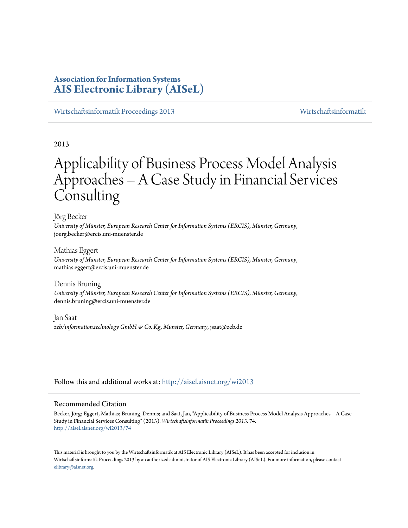# **Association for Information Systems [AIS Electronic Library \(AISeL\)](http://aisel.aisnet.org?utm_source=aisel.aisnet.org%2Fwi2013%2F74&utm_medium=PDF&utm_campaign=PDFCoverPages)**

[Wirtschaftsinformatik Proceedings 2013](http://aisel.aisnet.org/wi2013?utm_source=aisel.aisnet.org%2Fwi2013%2F74&utm_medium=PDF&utm_campaign=PDFCoverPages) [Wirtschaftsinformatik](http://aisel.aisnet.org/wi?utm_source=aisel.aisnet.org%2Fwi2013%2F74&utm_medium=PDF&utm_campaign=PDFCoverPages)

2013

# Applicability of Business Process Model Analysis Approaches – A Case Study in Financial Services **Consulting**

Jörg Becker

*University of Münster, European Research Center for Information Systems (ERCIS), Münster, Germany*, joerg.becker@ercis.uni-muenster.de

Mathias Eggert *University of Münster, European Research Center for Information Systems (ERCIS), Münster, Germany*, mathias.eggert@ercis.uni-muenster.de

Dennis Bruning *University of Münster, European Research Center for Information Systems (ERCIS), Münster, Germany*, dennis.bruning@ercis.uni-muenster.de

Jan Saat *zeb/information.technology GmbH & Co. Kg, Münster, Germany*, jsaat@zeb.de

Follow this and additional works at: [http://aisel.aisnet.org/wi2013](http://aisel.aisnet.org/wi2013?utm_source=aisel.aisnet.org%2Fwi2013%2F74&utm_medium=PDF&utm_campaign=PDFCoverPages)

#### Recommended Citation

Becker, Jörg; Eggert, Mathias; Bruning, Dennis; and Saat, Jan, "Applicability of Business Process Model Analysis Approaches – A Case Study in Financial Services Consulting" (2013). *Wirtschaftsinformatik Proceedings 2013*. 74. [http://aisel.aisnet.org/wi2013/74](http://aisel.aisnet.org/wi2013/74?utm_source=aisel.aisnet.org%2Fwi2013%2F74&utm_medium=PDF&utm_campaign=PDFCoverPages)

This material is brought to you by the Wirtschaftsinformatik at AIS Electronic Library (AISeL). It has been accepted for inclusion in Wirtschaftsinformatik Proceedings 2013 by an authorized administrator of AIS Electronic Library (AISeL). For more information, please contact [elibrary@aisnet.org.](mailto:elibrary@aisnet.org%3E)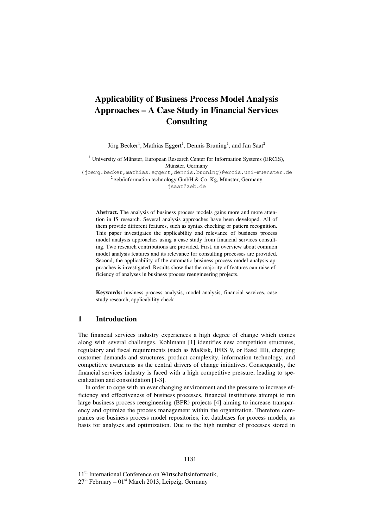# **Applicability of Business Process Model Analysis Approaches – A Case Study in Financial Services Consulting**

Jörg Becker<sup>1</sup>, Mathias Eggert<sup>1</sup>, Dennis Bruning<sup>1</sup>, and Jan Saat<sup>2</sup>

<sup>1</sup> University of Münster, European Research Center for Information Systems (ERCIS), Münster, Germany

{joerg.becker,mathias.eggert,dennis.bruning}@ercis.uni-muenster.de  $2$  zeb/information.technology GmbH & Co. Kg, Münster, Germany

jsaat@zeb.de

**Abstract.** The analysis of business process models gains more and more attention in IS research. Several analysis approaches have been developed. All of them provide different features, such as syntax checking or pattern recognition. This paper investigates the applicability and relevance of business process model analysis approaches using a case study from financial services consulting. Two research contributions are provided. First, an overview about common model analysis features and its relevance for consulting processes are provided. Second, the applicability of the automatic business process model analysis approaches is investigated. Results show that the majority of features can raise efficiency of analyses in business process reengineering projects.

**Keywords:** business process analysis, model analysis, financial services, case study research, applicability check

## **1 Introduction**

The financial services industry experiences a high degree of change which comes along with several challenges. Kohlmann [1] identifies new competition structures, regulatory and fiscal requirements (such as MaRisk, IFRS 9, or Basel III), changing customer demands and structures, product complexity, information technology, and competitive awareness as the central drivers of change initiatives. Consequently, the financial services industry is faced with a high competitive pressure, leading to specialization and consolidation [1-3].

In order to cope with an ever changing environment and the pressure to increase efficiency and effectiveness of business processes, financial institutions attempt to run large business process reengineering (BPR) projects [4] aiming to increase transparency and optimize the process management within the organization. Therefore companies use business process model repositories, i.e. databases for process models, as basis for analyses and optimization. Due to the high number of processes stored in

11<sup>th</sup> International Conference on Wirtschaftsinformatik,  $27<sup>th</sup>$  February –  $01<sup>st</sup>$  March 2013, Leipzig, Germany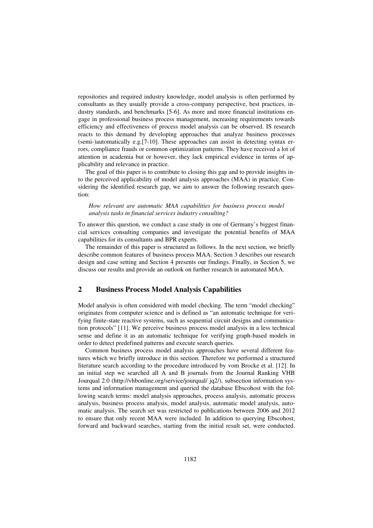repositories and required industry knowledge, model analysis is often performed by consultants as they usually provide a cross-company perspective, best practices, industry standards, and benchmarks [5-6]. As more and more financial institutions engage in professional business process management, increasing requirements towards efficiency and effectiveness of process model analysis can be observed. IS research reacts to this demand by developing approaches that analyze business processes (semi-)automatically e.g.[7-10]. These approaches can assist in detecting syntax errors, compliance frauds or common optimization patterns. They have received a lot of attention in academia but or however, they lack empirical evidence in terms of applicability and relevance in practice.

The goal of this paper is to contribute to closing this gap and to provide insights into the perceived applicability of model analysis approaches (MAA) in practice. Considering the identified research gap, we aim to answer the following research question:

*How relevant are automatic MAA capabilities for business process model analysis tasks in financial services industry consulting?* 

To answer this question, we conduct a case study in one of Germany's biggest financial services consulting companies and investigate the potential benefits of MAA capabilities for its consultants and BPR experts.

The remainder of this paper is structured as follows. In the next section, we briefly describe common features of business process MAA. Section 3 describes our research design and case setting and Section 4 presents our findings. Finally, in Section 5, we discuss our results and provide an outlook on further research in automated MAA.

# **2 Business Process Model Analysis Capabilities**

Model analysis is often considered with model checking. The term "model checking" originates from computer science and is defined as "an automatic technique for verifying finite-state reactive systems, such as sequential circuit designs and communication protocols" [11]. We perceive business process model analysis in a less technical sense and define it as an automatic technique for verifying graph-based models in order to detect predefined patterns and execute search queries.

Common business process model analysis approaches have several different features which we briefly introduce in this section. Therefore we performed a structured literature search according to the procedure introduced by vom Brocke et al. [12]. In an initial step we searched all A and B journals from the Journal Ranking VHB Jourqual 2.0 (http://vhbonline.org/service/jourqual/ jq2/), subsection information systems and information management and queried the database Ebscohost with the following search terms: model analysis approaches, process analysis, automatic process analysis, business process analysis, model analysis, automatic model analysis, automatic analysis. The search set was restricted to publications between 2006 and 2012 to ensure that only recent MAA were included. In addition to querying Ebscohost, forward and backward searches, starting from the initial result set, were conducted.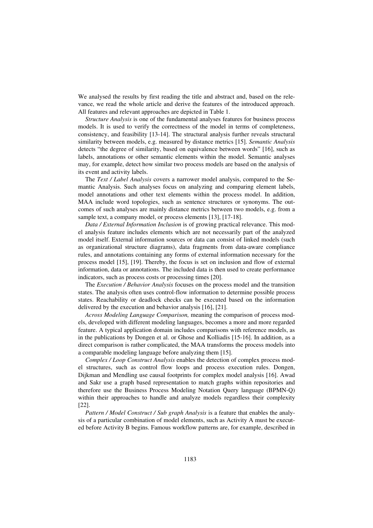We analysed the results by first reading the title and abstract and, based on the relevance, we read the whole article and derive the features of the introduced approach. All features and relevant approaches are depicted in Table 1.

*Structure Analysis* is one of the fundamental analyses features for business process models. It is used to verify the correctness of the model in terms of completeness, consistency, and feasibility [13-14]. The structural analysis further reveals structural similarity between models, e.g. measured by distance metrics [15]. *Semantic Analysis* detects "the degree of similarity, based on equivalence between words" [16], such as labels, annotations or other semantic elements within the model. Semantic analyses may, for example, detect how similar two process models are based on the analysis of its event and activity labels.

The *Text / Label Analysis* covers a narrower model analysis, compared to the Semantic Analysis. Such analyses focus on analyzing and comparing element labels, model annotations and other text elements within the process model. In addition, MAA include word topologies, such as sentence structures or synonyms. The outcomes of such analyses are mainly distance metrics between two models, e.g. from a sample text, a company model, or process elements [13], [17-18].

*Data / External Information Inclusion* is of growing practical relevance. This model analysis feature includes elements which are not necessarily part of the analyzed model itself. External information sources or data can consist of linked models (such as organizational structure diagrams), data fragments from data-aware compliance rules, and annotations containing any forms of external information necessary for the process model [15], [19]. Thereby, the focus is set on inclusion and flow of external information, data or annotations. The included data is then used to create performance indicators, such as process costs or processing times [20].

The *Execution / Behavior Analysis* focuses on the process model and the transition states. The analysis often uses control-flow information to determine possible process states. Reachability or deadlock checks can be executed based on the information delivered by the execution and behavior analysis [16], [21].

*Across Modeling Language Comparison,* meaning the comparison of process models, developed with different modeling languages, becomes a more and more regarded feature. A typical application domain includes comparisons with reference models, as in the publications by Dongen et al. or Ghose and Kolliadis [15-16]. In addition, as a direct comparison is rather complicated, the MAA transforms the process models into a comparable modeling language before analyzing them [15].

*Complex / Loop Construct Analysis* enables the detection of complex process model structures, such as control flow loops and process execution rules. Dongen, Dijkman and Mendling use causal footprints for complex model analysis [16]. Awad and Sakr use a graph based representation to match graphs within repositories and therefore use the Business Process Modeling Notation Query language (BPMN-Q) within their approaches to handle and analyze models regardless their complexity [22].

*Pattern / Model Construct / Sub graph Analysis* is a feature that enables the analysis of a particular combination of model elements, such as Activity A must be executed before Activity B begins. Famous workflow patterns are, for example, described in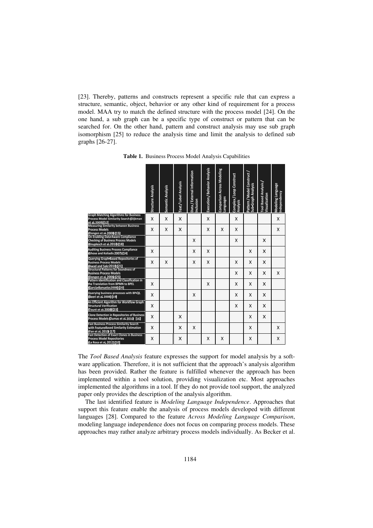[23]. Thereby, patterns and constructs represent a specific rule that can express a structure, semantic, object, behavior or any other kind of requirement for a process model. MAA try to match the defined structure with the process model [24]. On the one hand, a sub graph can be a specific type of construct or pattern that can be searched for. On the other hand, pattern and construct analysis may use sub graph isomorphism [25] to reduce the analysis time and limit the analysis to defined sub graphs [26-27].

|                                                                                                                      | Structure Analysis | Semantic Analysis | Text / Label Analysis | Data / External Information<br>Inclusion | Execution / Behavior Analysis | <b>Comparison Across Modeling</b><br>Languages | Complex / Loop Construct<br>Analysis | Pattern / Model Construct /<br>Sub <del>-</del> Graph Analysis | Tool Based Analysis/<br>Visualization | Modeling Language<br>Independency |
|----------------------------------------------------------------------------------------------------------------------|--------------------|-------------------|-----------------------|------------------------------------------|-------------------------------|------------------------------------------------|--------------------------------------|----------------------------------------------------------------|---------------------------------------|-----------------------------------|
| <b>Graph Matching Algorithms for Business</b><br>Process Model Similarity Search (Dijkman<br>et al. 2009) [12]       | X                  | X                 | X                     |                                          | X                             |                                                | X                                    |                                                                |                                       | X                                 |
| <b>Measuring Similarity between Business</b><br><b>Process Models</b><br>(Dongen et al. 2008) [15]                   | X                  | X                 | X                     |                                          | X                             | X                                              | X                                    |                                                                |                                       | X                                 |
| On Enabling Data-Aware Compliance<br><b>Checking of Business Process Models</b><br>(Knuplesch et al. 2010) [18]      |                    |                   |                       | X                                        |                               |                                                | X                                    |                                                                | X                                     |                                   |
| <b>Auditing Business Process Compliance</b><br>(Ghose and Koliadis 2007) [14]                                        | X                  |                   |                       | X                                        | X                             |                                                |                                      | X                                                              | X                                     |                                   |
| Querving Graph-Based Repositories of<br><b>Business Process Models</b><br>(Awad and Sakr 2010) [21]                  | X                  | X                 |                       | X                                        | X                             |                                                | X                                    | X                                                              | X                                     |                                   |
| <b>Structural Patterns for Soundness of</b><br><b>Business Process Models</b><br>(Dongen et al. 2006) [25]           |                    |                   |                       |                                          |                               |                                                | X                                    | x                                                              | X                                     | X                                 |
| Pattern Identification and Classification in<br>the Translation from BPMN to BPEL<br>(García-Banuelos 2008) [20]     | X                  |                   |                       |                                          | X                             |                                                | X                                    | X                                                              | X                                     |                                   |
| Querying business processes with BP-QL<br>(Beeri et al. 2008) [19]                                                   | X                  |                   |                       | X                                        |                               |                                                | X                                    | X                                                              | X                                     |                                   |
| An Efficient Algorithm for Workflow Graph<br><b>Structural Verification</b><br>(Touré et al. 2008) [23]              | X                  |                   |                       |                                          |                               |                                                | X                                    | X                                                              | X                                     |                                   |
| <b>Clone Detection in Repositories of Business</b><br>Process Models (Dumas et al. 2010) [16]                        | X                  |                   | X                     |                                          |                               |                                                |                                      | X                                                              | X                                     |                                   |
| <b>Fast Business Process Similarity Search</b><br>with Feature-Based Similarity Estimation<br>(Yan et al. 2010) [17] | X                  |                   | X                     | X                                        |                               |                                                |                                      | X                                                              |                                       | X                                 |
| <b>Fast Detection of Exact Clones in Business</b><br><b>Process Model Repositories</b><br>(La Rosa et al. 2012) [10] | X                  |                   | X                     |                                          | X                             | X                                              |                                      | X                                                              |                                       | X                                 |

**Table 1.** Business Process Model Analysis Capabilities

The *Tool Based Analysis* feature expresses the support for model analysis by a software application. Therefore, it is not sufficient that the approach's analysis algorithm has been provided. Rather the feature is fulfilled whenever the approach has been implemented within a tool solution, providing visualization etc. Most approaches implemented the algorithms in a tool. If they do not provide tool support, the analyzed paper only provides the description of the analysis algorithm.

The last identified feature is *Modeling Language Independence*. Approaches that support this feature enable the analysis of process models developed with different languages [28]. Compared to the feature *Across Modeling Language Comparison*, modeling language independence does not focus on comparing process models. These approaches may rather analyze arbitrary process models individually. As Becker et al.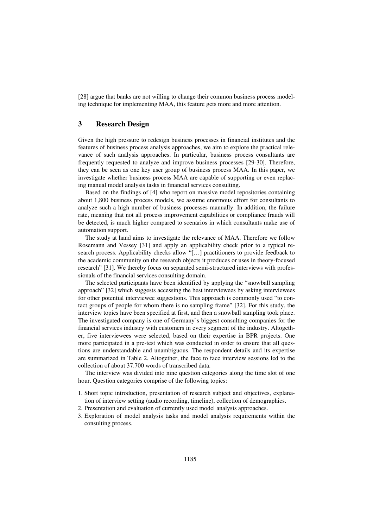[28] argue that banks are not willing to change their common business process modeling technique for implementing MAA, this feature gets more and more attention.

# **3 Research Design**

Given the high pressure to redesign business processes in financial institutes and the features of business process analysis approaches, we aim to explore the practical relevance of such analysis approaches. In particular, business process consultants are frequently requested to analyze and improve business processes [29-30]. Therefore, they can be seen as one key user group of business process MAA. In this paper, we investigate whether business process MAA are capable of supporting or even replacing manual model analysis tasks in financial services consulting.

Based on the findings of [4] who report on massive model repositories containing about 1,800 business process models, we assume enormous effort for consultants to analyze such a high number of business processes manually. In addition, the failure rate, meaning that not all process improvement capabilities or compliance frauds will be detected, is much higher compared to scenarios in which consultants make use of automation support.

The study at hand aims to investigate the relevance of MAA. Therefore we follow Rosemann and Vessey [31] and apply an applicability check prior to a typical research process. Applicability checks allow "[…] practitioners to provide feedback to the academic community on the research objects it produces or uses in theory-focused research" [31]. We thereby focus on separated semi-structured interviews with professionals of the financial services consulting domain.

The selected participants have been identified by applying the "snowball sampling approach" [32] which suggests accessing the best interviewees by asking interviewees for other potential interviewee suggestions. This approach is commonly used "to contact groups of people for whom there is no sampling frame" [32]. For this study, the interview topics have been specified at first, and then a snowball sampling took place. The investigated company is one of Germany`s biggest consulting companies for the financial services industry with customers in every segment of the industry. Altogether, five interviewees were selected, based on their expertise in BPR projects. One more participated in a pre-test which was conducted in order to ensure that all questions are understandable and unambiguous. The respondent details and its expertise are summarized in Table 2. Altogether, the face to face interview sessions led to the collection of about 37.700 words of transcribed data.

The interview was divided into nine question categories along the time slot of one hour. Question categories comprise of the following topics:

- 1. Short topic introduction, presentation of research subject and objectives, explanation of interview setting (audio recording, timeline), collection of demographics.
- 2. Presentation and evaluation of currently used model analysis approaches.
- 3. Exploration of model analysis tasks and model analysis requirements within the consulting process.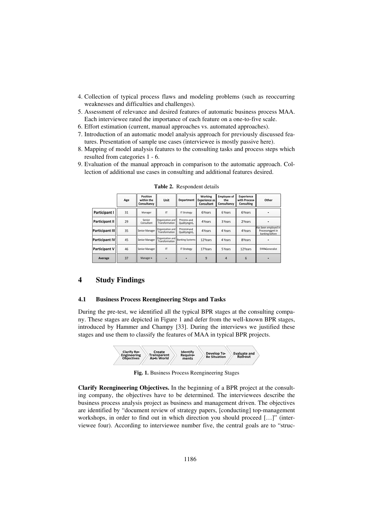- 4. Collection of typical process flaws and modeling problems (such as reoccurring weaknesses and difficulties and challenges).
- 5. Assessment of relevance and desired features of automatic business process MAA. Each interviewee rated the importance of each feature on a one-to-five scale.
- 6. Effort estimation (current, manual approaches vs. automated approaches).
- 7. Introduction of an automatic model analysis approach for previously discussed features. Presentation of sample use cases (interviewee is mostly passive here).
- 8. Mapping of model analysis features to the consulting tasks and process steps which resulted from categories 1 - 6.
- 9. Evaluation of the manual approach in comparison to the automatic approach. Collection of additional use cases in consulting and additional features desired.

|                        | Age | Position<br>within the<br>Consultancy | <b>Unit</b>                                             | <b>Department</b>          | Working<br><b>Experience as</b><br><b>Consultant</b> | <b>Employee of</b><br>the<br>Consultancy | <b>Experience</b><br>with Process<br>Consulting | Other                                                     |
|------------------------|-----|---------------------------------------|---------------------------------------------------------|----------------------------|------------------------------------------------------|------------------------------------------|-------------------------------------------------|-----------------------------------------------------------|
| Participant I          | 31  | Manager                               | IT                                                      | <b>IT Strategy</b>         | 6 Years                                              | 6 Years                                  | 6 Years                                         |                                                           |
| Participant II         | 29  | Senior<br>Consultant                  | Organization and<br>Transformation                      | Process and<br>Qualitymgmt | 4 Years                                              | 3 Years                                  | 2 Years                                         |                                                           |
| <b>Participant III</b> | 35  | Senior Manager                        | Organization and<br>Transformation                      | Process and<br>Qualitymgmt | 4 Years                                              | 4 Years                                  | 4 Years                                         | Has been employed in<br>Processmggmt in<br>banking before |
| Participant IV         | 45  | Senior Manager                        | Organization and    Banking Systems  <br>Transformation |                            | 12 Years                                             | 4 Years                                  | 8 Years                                         |                                                           |
| Participant V          | 46  | Senior Manager                        | IT                                                      | <b>IT Strategy</b>         | 17 Years                                             | 5 Years                                  | 12 Years                                        | <b>EAM-Generalist</b>                                     |
| Average                | 37  | Manager+                              |                                                         |                            | 9                                                    | 4                                        | 6                                               |                                                           |

**Table 2.** Respondent details

# **4 Study Findings**

#### **4.1 Business Process Reengineering Steps and Tasks**

During the pre-test, we identified all the typical BPR stages at the consulting company. These stages are depicted in Figure 1 and defer from the well-known BPR stages, introduced by Hammer and Champy [33]. During the interviews we justified these stages and use them to classify the features of MAA in typical BPR projects.



**Fig. 1.** Business Process Reengineering Stages

**Clarify Reengineering Objectives.** In the beginning of a BPR project at the consulting company, the objectives have to be determined. The interviewees describe the business process analysis project as business and management driven. The objectives are identified by "document review of strategy papers, [conducting] top-management workshops, in order to find out in which direction you should proceed […]" (interviewee four). According to interviewee number five, the central goals are to "struc-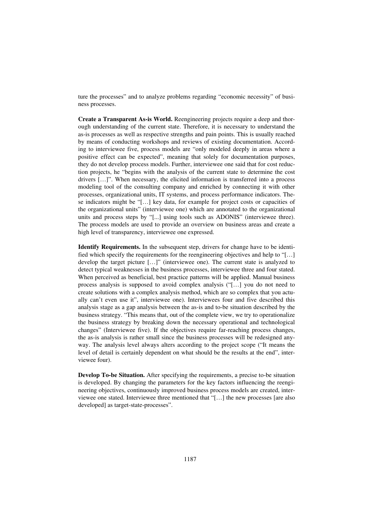ture the processes" and to analyze problems regarding "economic necessity" of business processes.

**Create a Transparent As-is World.** Reengineering projects require a deep and thorough understanding of the current state. Therefore, it is necessary to understand the as-is processes as well as respective strengths and pain points. This is usually reached by means of conducting workshops and reviews of existing documentation. According to interviewee five, process models are "only modeled deeply in areas where a positive effect can be expected", meaning that solely for documentation purposes, they do not develop process models. Further, interviewee one said that for cost reduction projects, he "begins with the analysis of the current state to determine the cost drivers […]". When necessary, the elicited information is transferred into a process modeling tool of the consulting company and enriched by connecting it with other processes, organizational units, IT systems, and process performance indicators. These indicators might be "[…] key data, for example for project costs or capacities of the organizational units" (interviewee one) which are annotated to the organizational units and process steps by "[...] using tools such as ADONIS" (interviewee three). The process models are used to provide an overview on business areas and create a high level of transparency, interviewee one expressed.

**Identify Requirements.** In the subsequent step, drivers for change have to be identified which specify the requirements for the reengineering objectives and help to "[…] develop the target picture […]" (interviewee one). The current state is analyzed to detect typical weaknesses in the business processes, interviewee three and four stated. When perceived as beneficial, best practice patterns will be applied. Manual business process analysis is supposed to avoid complex analysis ("[…] you do not need to create solutions with a complex analysis method, which are so complex that you actually can't even use it", interviewee one). Interviewees four and five described this analysis stage as a gap analysis between the as-is and to-be situation described by the business strategy. "This means that, out of the complete view, we try to operationalize the business strategy by breaking down the necessary operational and technological changes" (Interviewee five). If the objectives require far-reaching process changes, the as-is analysis is rather small since the business processes will be redesigned anyway. The analysis level always alters according to the project scope ("It means the level of detail is certainly dependent on what should be the results at the end", interviewee four).

**Develop To-be Situation.** After specifying the requirements, a precise to-be situation is developed. By changing the parameters for the key factors influencing the reengineering objectives, continuously improved business process models are created, interviewee one stated. Interviewee three mentioned that "[…] the new processes [are also developed] as target-state-processes".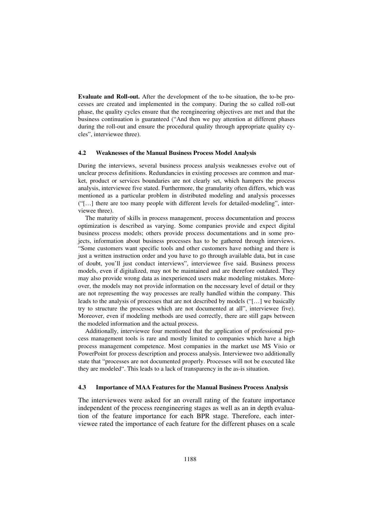**Evaluate and Roll-out.** After the development of the to-be situation, the to-be processes are created and implemented in the company. During the so called roll-out phase, the quality cycles ensure that the reengineering objectives are met and that the business continuation is guaranteed ("And then we pay attention at different phases during the roll-out and ensure the procedural quality through appropriate quality cycles", interviewee three).

#### **4.2 Weaknesses of the Manual Business Process Model Analysis**

During the interviews, several business process analysis weaknesses evolve out of unclear process definitions. Redundancies in existing processes are common and market, product or services boundaries are not clearly set, which hampers the process analysis, interviewee five stated. Furthermore, the granularity often differs, which was mentioned as a particular problem in distributed modeling and analysis processes ("[…] there are too many people with different levels for detailed-modeling", interviewee three).

The maturity of skills in process management, process documentation and process optimization is described as varying. Some companies provide and expect digital business process models; others provide process documentations and in some projects, information about business processes has to be gathered through interviews. "Some customers want specific tools and other customers have nothing and there is just a written instruction order and you have to go through available data, but in case of doubt, you'll just conduct interviews", interviewee five said. Business process models, even if digitalized, may not be maintained and are therefore outdated. They may also provide wrong data as inexperienced users make modeling mistakes. Moreover, the models may not provide information on the necessary level of detail or they are not representing the way processes are really handled within the company. This leads to the analysis of processes that are not described by models ("[…] we basically try to structure the processes which are not documented at all", interviewee five). Moreover, even if modeling methods are used correctly, there are still gaps between the modeled information and the actual process.

Additionally, interviewee four mentioned that the application of professional process management tools is rare and mostly limited to companies which have a high process management competence. Most companies in the market use MS Visio or PowerPoint for process description and process analysis. Interviewee two additionally state that "processes are not documented properly. Processes will not be executed like they are modeled". This leads to a lack of transparency in the as-is situation.

#### **4.3 Importance of MAA Features for the Manual Business Process Analysis**

The interviewees were asked for an overall rating of the feature importance independent of the process reengineering stages as well as an in depth evaluation of the feature importance for each BPR stage. Therefore, each interviewee rated the importance of each feature for the different phases on a scale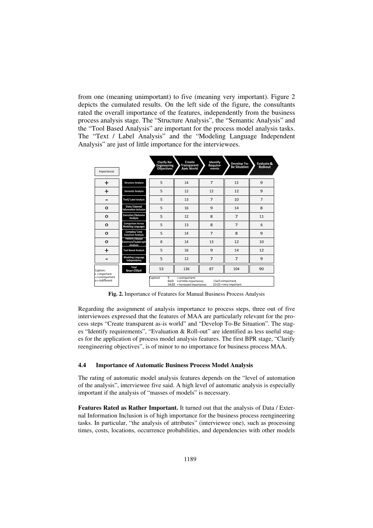from one (meaning unimportant) to five (meaning very important). Figure 2 depicts the cumulated results. On the left side of the figure, the consultants rated the overall importance of the features, independently from the business process analysis stage. The "Structure Analysis", the "Semantic Analysis" and the "Tool Based Analysis" are important for the process model analysis tasks. The "Text / Label Analysis" and the "Modeling Language Independent Analysis" are just of little importance for the interviewees.

| Importance:                         |                                                                                                                                                            | <b>Clarify Re-</b><br><b>Engineering</b><br><b>Objectives</b> | Create<br><b>Transparent</b><br>As Is World | Identify<br><b>Require-</b><br>ments | Develop To-<br><b>Be Situation</b> | Evaluate &<br><b>Roll-out</b> |  |  |  |
|-------------------------------------|------------------------------------------------------------------------------------------------------------------------------------------------------------|---------------------------------------------------------------|---------------------------------------------|--------------------------------------|------------------------------------|-------------------------------|--|--|--|
| $\ddot{}$                           | <b>Structure Analysis</b>                                                                                                                                  | 5                                                             | 14                                          | 7                                    | 13                                 | 9                             |  |  |  |
| $\ddot{}$                           | <b>Semantic Analysis</b>                                                                                                                                   | 5                                                             | 12                                          | 12                                   | 12                                 | 9                             |  |  |  |
| -                                   | <b>Text / Label Analysis</b>                                                                                                                               | 5                                                             | 13                                          | $\overline{7}$                       | 10                                 | 7                             |  |  |  |
| O                                   | Data / External<br><b>Information Inclusion</b>                                                                                                            | 5                                                             | 16                                          | 9                                    | 14                                 | 8                             |  |  |  |
| O                                   | <b>Execution / Behavior</b><br>Analysis                                                                                                                    | 5                                                             | 12                                          | 8                                    | 7                                  | 11                            |  |  |  |
| O                                   | <b>Comparison Across</b><br><b>Modeling Languages</b>                                                                                                      | 5                                                             | 13                                          | 8                                    | $\overline{7}$                     | 6                             |  |  |  |
| o                                   | Complex / Loop<br><b>Construct Analysis</b>                                                                                                                | 5                                                             | 14                                          | 7                                    | 8                                  | 9                             |  |  |  |
| O                                   | Pattern / Model<br>Construct / Sub-Graph<br><b>Analysis</b>                                                                                                | 8                                                             | 14                                          | 13                                   | 12                                 | 10                            |  |  |  |
| $\ddot{}$                           | <b>Tool Based Analysis</b>                                                                                                                                 | 5                                                             | 16                                          | 9                                    | 14                                 | 12                            |  |  |  |
|                                     | <b>Modeling Language</b><br>Independency                                                                                                                   | 5                                                             | 12                                          | $\overline{7}$                       | 7                                  | 9                             |  |  |  |
| Caption:<br>$+ =$ important         | Total<br>$(max = 250pt)$                                                                                                                                   | 53                                                            | 136                                         | 87                                   | 104                                | 90                            |  |  |  |
| -= unimportant<br>$o = indifferent$ | 5<br>=unimportant;<br>Caption:<br>$6 - 10$<br>= of little importance;<br>$11-15$ = important;<br>16-20<br>=increased importance;<br>21-25 = very important |                                                               |                                             |                                      |                                    |                               |  |  |  |

**Fig. 2.** Importance of Features for Manual Business Process Analysis

Regarding the assignment of analysis importance to process steps, three out of five interviewees expressed that the features of MAA are particularly relevant for the process steps "Create transparent as-is world" and "Develop To-Be Situation". The stages "Identify requirements", "Evaluation & Roll-out" are identified as less useful stages for the application of process model analysis features. The first BPR stage, "Clarify reengineering objectives", is of minor to no importance for business process MAA.

#### **4.4 Importance of Automatic Business Process Model Analysis**

The rating of automatic model analysis features depends on the "level of automation of the analysis", interviewee five said. A high level of automatic analysis is especially important if the analysis of "masses of models" is necessary.

**Features Rated as Rather Important.** It turned out that the analysis of Data / External Information Inclusion is of high importance for the business process reengineering tasks. In particular, "the analysis of attributes" (interviewee one), such as processing times, costs, locations, occurrence probabilities, and dependencies with other models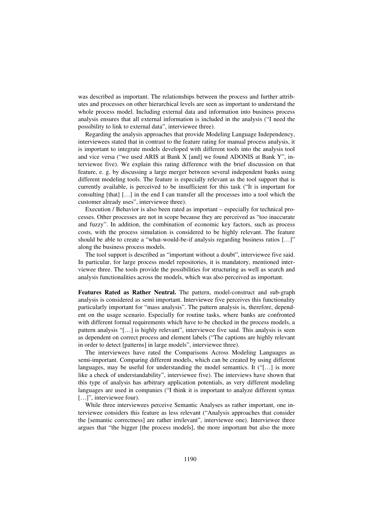was described as important. The relationships between the process and further attributes and processes on other hierarchical levels are seen as important to understand the whole process model. Including external data and information into business process analysis ensures that all external information is included in the analysis ("I need the possibility to link to external data", interviewee three).

Regarding the analysis approaches that provide Modeling Language Independency, interviewees stated that in contrast to the feature rating for manual process analysis, it is important to integrate models developed with different tools into the analysis tool and vice versa ("we used ARIS at Bank X [and] we found ADONIS at Bank Y", interviewee five). We explain this rating difference with the brief discussion on that feature, e. g. by discussing a large merger between several independent banks using different modeling tools. The feature is especially relevant as the tool support that is currently available, is perceived to be insufficient for this task ("It is important for consulting [that] […] in the end I can transfer all the processes into a tool which the customer already uses", interviewee three).

Execution / Behavior is also been rated as important – especially for technical processes. Other processes are not in scope because they are perceived as "too inaccurate and fuzzy". In addition, the combination of economic key factors, such as process costs, with the process simulation is considered to be highly relevant. The feature should be able to create a "what-would-be-if analysis regarding business ratios […]" along the business process models.

The tool support is described as "important without a doubt", interviewee five said. In particular, for large process model repositories, it is mandatory, mentioned interviewee three. The tools provide the possibilities for structuring as well as search and analysis functionalities across the models, which was also perceived as important.

**Features Rated as Rather Neutral.** The pattern, model-construct and sub-graph analysis is considered as semi important. Interviewee five perceives this functionality particularly important for "mass analysis". The pattern analysis is, therefore, dependent on the usage scenario. Especially for routine tasks, where banks are confronted with different formal requirements which have to be checked in the process models, a pattern analysis "[…] is highly relevant", interviewee five said. This analysis is seen as dependent on correct process and element labels ("The captions are highly relevant in order to detect [patterns] in large models", interviewee three).

The interviewees have rated the Comparisons Across Modeling Languages as semi-important. Comparing different models, which can be created by using different languages, may be useful for understanding the model semantics. It ("[…] is more like a check of understandability", interviewee five). The interviews have shown that this type of analysis has arbitrary application potentials, as very different modeling languages are used in companies ("I think it is important to analyze different syntax [...]", interviewee four).

While three interviewees perceive Semantic Analyses as rather important, one interviewee considers this feature as less relevant ("Analysis approaches that consider the [semantic correctness] are rather irrelevant", interviewee one). Interviewee three argues that "the bigger [the process models], the more important but also the more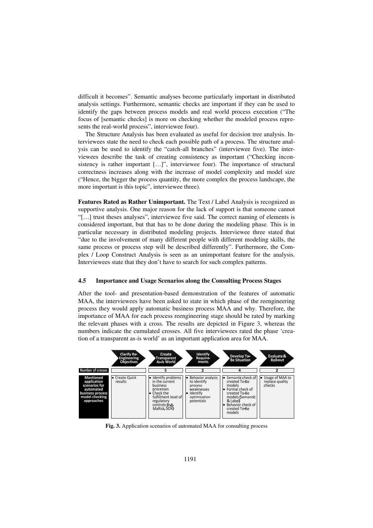difficult it becomes". Semantic analyses become particularly important in distributed analysis settings. Furthermore, semantic checks are important if they can be used to identify the gaps between process models and real world process execution ("The focus of [semantic checks] is more on checking whether the modeled process represents the real-world process", interviewee four).

The Structure Analysis has been evaluated as useful for decision tree analysis. Interviewees state the need to check each possible path of a process. The structure analysis can be used to identify the "catch-all branches" (interviewee five). The interviewees describe the task of creating consistency as important ("Checking inconsistency is rather important [...]", interviewee four). The importance of structural correctness increases along with the increase of model complexity and model size ("Hence, the bigger the process quantity, the more complex the process landscape, the more important is this topic", interviewee three).

**Features Rated as Rather Unimportant.** The Text / Label Analysis is recognized as supportive analysis. One major reason for the lack of support is that someone cannot "[…] trust theses analyses", interviewee five said. The correct naming of elements is considered important, but that has to be done during the modeling phase. This is in particular necessary in distributed modeling projects. Interviewee three stated that "due to the involvement of many different people with different modeling skills, the same process or process step will be described differently". Furthermore, the Complex / Loop Construct Analysis is seen as an unimportant feature for the analysis. Interviewees state that they don't have to search for such complex patterns.

#### **4.5 Importance and Usage Scenarios along the Consulting Process Stages**

After the tool- and presentation-based demonstration of the features of automatic MAA, the interviewees have been asked to state in which phase of the reengineering process they would apply automatic business process MAA and why. Therefore, the importance of MAA for each process reengineering stage should be rated by marking the relevant phases with a cross. The results are depicted in Figure 3, whereas the numbers indicate the cumulated crosses. All five interviewees rated the phase 'creation of a transparent as-is world' as an important application area for MAA.



**Fig. 3.** Application scenarios of automated MAA for consulting process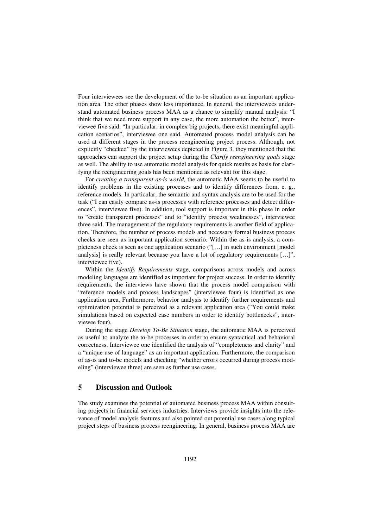Four interviewees see the development of the to-be situation as an important application area. The other phases show less importance. In general, the interviewees understand automated business process MAA as a chance to simplify manual analysis: "I think that we need more support in any case, the more automation the better", interviewee five said. "In particular, in complex big projects, there exist meaningful application scenarios", interviewee one said. Automated process model analysis can be used at different stages in the process reengineering project process. Although, not explicitly "checked" by the interviewees depicted in Figure 3, they mentioned that the approaches can support the project setup during the *Clarify reengineering goals* stage as well. The ability to use automatic model analysis for quick results as basis for clarifying the reengineering goals has been mentioned as relevant for this stage.

For *creating a transparent as-is world,* the automatic MAA seems to be useful to identify problems in the existing processes and to identify differences from, e. g., reference models. In particular, the semantic and syntax analysis are to be used for the task ("I can easily compare as-is processes with reference processes and detect differences", interviewee five). In addition, tool support is important in this phase in order to "create transparent processes" and to "identify process weaknesses", interviewee three said. The management of the regulatory requirements is another field of application. Therefore, the number of process models and necessary formal business process checks are seen as important application scenario. Within the as-is analysis, a completeness check is seen as one application scenario ("[…] in such environment [model analysis] is really relevant because you have a lot of regulatory requirements […]", interviewee five).

Within the *Identify Requirements* stage, comparisons across models and across modeling languages are identified as important for project success. In order to identify requirements, the interviews have shown that the process model comparison with "reference models and process landscapes" (interviewee four) is identified as one application area. Furthermore, behavior analysis to identify further requirements and optimization potential is perceived as a relevant application area ("You could make simulations based on expected case numbers in order to identify bottlenecks", interviewee four).

During the stage *Develop To-Be Situation* stage, the automatic MAA is perceived as useful to analyze the to-be processes in order to ensure syntactical and behavioral correctness. Interviewee one identified the analysis of "completeness and clarity" and a "unique use of language" as an important application. Furthermore, the comparison of as-is and to-be models and checking "whether errors occurred during process modeling" (interviewee three) are seen as further use cases.

# **5 Discussion and Outlook**

The study examines the potential of automated business process MAA within consulting projects in financial services industries. Interviews provide insights into the relevance of model analysis features and also pointed out potential use cases along typical project steps of business process reengineering. In general, business process MAA are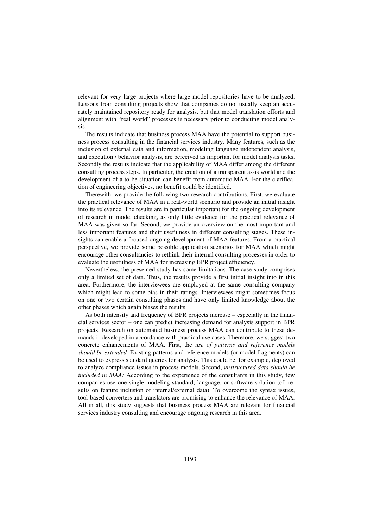relevant for very large projects where large model repositories have to be analyzed. Lessons from consulting projects show that companies do not usually keep an accurately maintained repository ready for analysis, but that model translation efforts and alignment with "real world" processes is necessary prior to conducting model analysis.

The results indicate that business process MAA have the potential to support business process consulting in the financial services industry. Many features, such as the inclusion of external data and information, modeling language independent analysis, and execution / behavior analysis, are perceived as important for model analysis tasks. Secondly the results indicate that the applicability of MAA differ among the different consulting process steps. In particular, the creation of a transparent as-is world and the development of a to-be situation can benefit from automatic MAA. For the clarification of engineering objectives, no benefit could be identified.

Therewith, we provide the following two research contributions. First, we evaluate the practical relevance of MAA in a real-world scenario and provide an initial insight into its relevance. The results are in particular important for the ongoing development of research in model checking, as only little evidence for the practical relevance of MAA was given so far. Second, we provide an overview on the most important and less important features and their usefulness in different consulting stages. These insights can enable a focused ongoing development of MAA features. From a practical perspective, we provide some possible application scenarios for MAA which might encourage other consultancies to rethink their internal consulting processes in order to evaluate the usefulness of MAA for increasing BPR project efficiency.

Nevertheless, the presented study has some limitations. The case study comprises only a limited set of data. Thus, the results provide a first initial insight into in this area. Furthermore, the interviewees are employed at the same consulting company which might lead to some bias in their ratings. Interviewees might sometimes focus on one or two certain consulting phases and have only limited knowledge about the other phases which again biases the results.

As both intensity and frequency of BPR projects increase – especially in the financial services sector – one can predict increasing demand for analysis support in BPR projects. Research on automated business process MAA can contribute to these demands if developed in accordance with practical use cases. Therefore, we suggest two concrete enhancements of MAA. First, the *use of patterns and reference models should be extended.* Existing patterns and reference models (or model fragments) can be used to express standard queries for analysis. This could be, for example, deployed to analyze compliance issues in process models. Second, *unstructured data should be included in MAA:* According to the experience of the consultants in this study, few companies use one single modeling standard, language, or software solution (cf. results on feature inclusion of internal/external data). To overcome the syntax issues, tool-based converters and translators are promising to enhance the relevance of MAA. All in all, this study suggests that business process MAA are relevant for financial services industry consulting and encourage ongoing research in this area.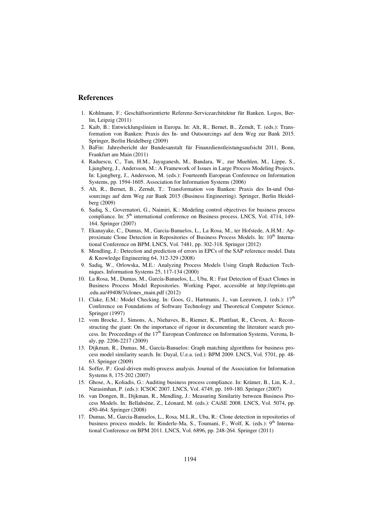### **References**

- 1. Kohlmann, F.: Geschäftsorientierte Referenz-Servicearchitektur für Banken. Logos, Berlin, Leipzig (2011)
- 2. Kaib, B.: Entwicklungslinien in Europa. In: Alt, R., Bernet, B., Zerndt, T. (eds.): Transformation von Banken: Praxis des In- und Outsourcings auf dem Weg zur Bank 2015. Springer, Berlin Heidelberg (2009)
- 3. BaFin: Jahresbericht der Bundesanstalt für Finanzdienstleistungsaufsicht 2011, Bonn, Frankfurt am Main (2011)
- 4. Raduescu, C., Tan, H.M., Jayaganesh, M., Bandara, W., zur Muehlen, M., Lippe, S., Ljungberg, J., Andersson, M.: A Framework of Issues in Large Process Modeling Projects. In: Ljungberg, J., Andersson, M. (eds.): Fourteenth European Conference on Information Systems, pp. 1594-1605. Association for Information Systems (2006)
- 5. Alt, R., Bernet, B., Zerndt, T.: Transformation von Banken: Praxis des In-und Outsourcings auf dem Weg zur Bank 2015 (Business Engineering). Springer, Berlin Heidelberg (2009)
- 6. Sadiq, S., Governatori, G., Naimiri, K.: Modeling control objectives for business process compliance. In: 5<sup>th</sup> international conference on Business process. LNCS, Vol. 4714, 149-164. Springer (2007)
- 7. Ekanayake, C., Dumas, M., Garcia-Banuelos, L., La Rosa, M., ter Hofstede, A.H.M.: Approximate Clone Detection in Repositories of Business Process Models. In:  $10<sup>th</sup>$  International Conference on BPM. LNCS, Vol. 7481, pp. 302-318. Springer (2012)
- 8. Mendling, J.: Detection and prediction of errors in EPCs of the SAP reference model. Data & Knowledge Engineering 64, 312-329 (2008)
- 9. Sadiq, W., Orlowska, M.E.: Analyzing Process Models Using Graph Reduction Techniques. Information Systems 25, 117-134 (2000)
- 10. La Rosa, M., Dumas, M., García-Banuelos, L., Uba, R.: Fast Detection of Exact Clones in Business Process Model Repositories. Working Paper, accessible at http://eprints.qut .edu.au/49408/3/clones\_main.pdf (2012)
- 11. Clake, E.M.: Model Checking. In: Goos, G., Hartmanis, J., van Leeuwen, J. (eds.):  $17<sup>th</sup>$ Conference on Foundations of Software Technology and Theoretical Computer Science. Springer (1997)
- 12. vom Brocke, J., Simons, A., Niehaves, B., Riemer, K., Plattfaut, R., Cleven, A.: Reconstructing the giant: On the importance of rigour in documenting the literature search process. In: Proceedings of the  $17<sup>th</sup>$  European Conference on Information Systems, Verona, Italy, pp. 2206-2217 (2009)
- 13. Dijkman, R., Dumas, M., García-Banuelos: Graph matching algorithms for business process model similarity search. In: Dayal, U.e.a. (ed.): BPM 2009. LNCS, Vol. 5701, pp. 48- 63. Springer (2009)
- 14. Soffer, P.: Goal-driven multi-process analysis. Journal of the Association for Information Systems 8, 175-202 (2007)
- 15. Ghose, A., Koliadis, G.: Auditing business process compliance. In: Krämer, B., Lin, K.-J., Narasimhan, P. (eds.): ICSOC 2007. LNCS, Vol. 4749, pp. 169-180. Springer (2007)
- 16. van Dongen, B., Dijkman, R., Mendling, J.: Measuring Similarity between Business Process Models. In: Bellahsène, Z., Léonard, M. (eds.): CAiSE 2008. LNCS, Vol. 5074, pp. 450-464. Springer (2008)
- 17. Dumas, M., Garcia-Banuelos, L., Rosa, M.L.R., Uba, R.: Clone detection in repositories of business process models. In: Rinderle-Ma, S., Toumani, F., Wolf, K. (eds.): 9<sup>th</sup> International Conference on BPM 2011. LNCS, Vol. 6896, pp. 248-264. Springer (2011)